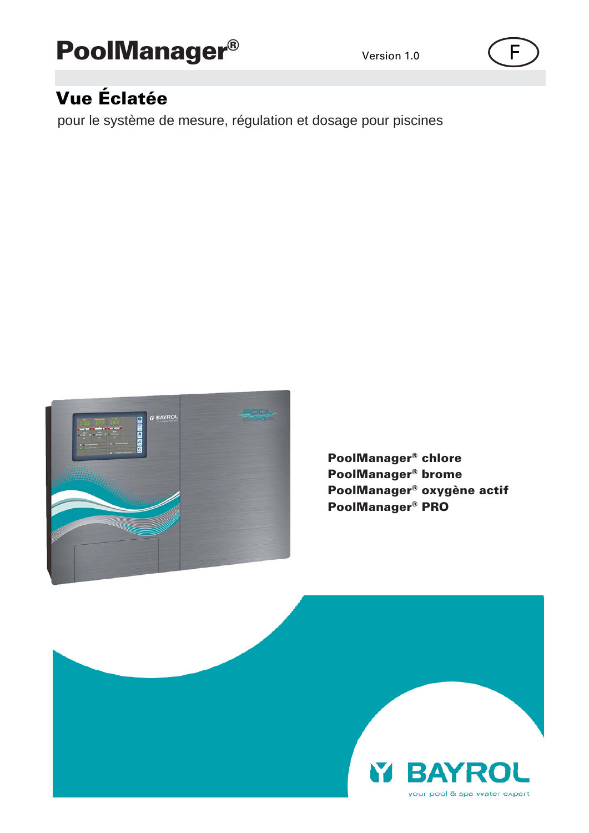# PoolManager®

## Version 1.0  $\left( \begin{array}{ccc} \rule{0.2cm}{1.2cm} \rule{0.2cm}{1.2cm} \rule{0.2cm}{1.2cm} \rule{0.2cm}{1.2cm} \rule{0.2cm}{1.2cm} \rule{0.2cm}{1.2cm} \rule{0.2cm}{1.2cm} \rule{0.2cm}{1.2cm} \rule{0.2cm}{1.2cm} \rule{0.2cm}{1.2cm} \rule{0.2cm}{1.2cm} \rule{0.2cm}{1.2cm} \rule{0.2cm}{1.2cm} \rule{0.2cm}{1.2cm} \rule{0.2cm}{1.2cm} \rule{$

# Vue Éclatée

pour le système de mesure, régulation et dosage pour piscines



PoolManager® chlore PoolManager® brome PoolManager® oxygène actif PoolManager® PRO

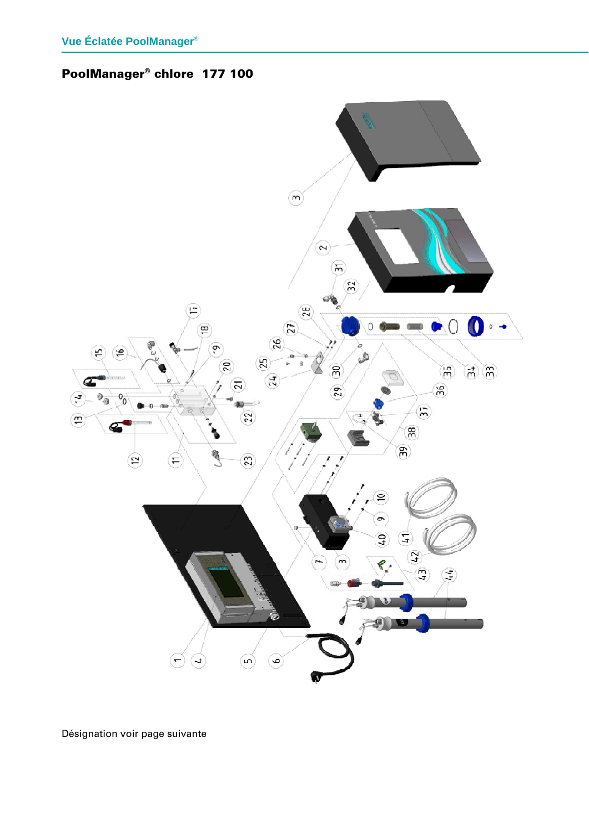# PoolManager® chlore 177 100



Désignation voir page suivante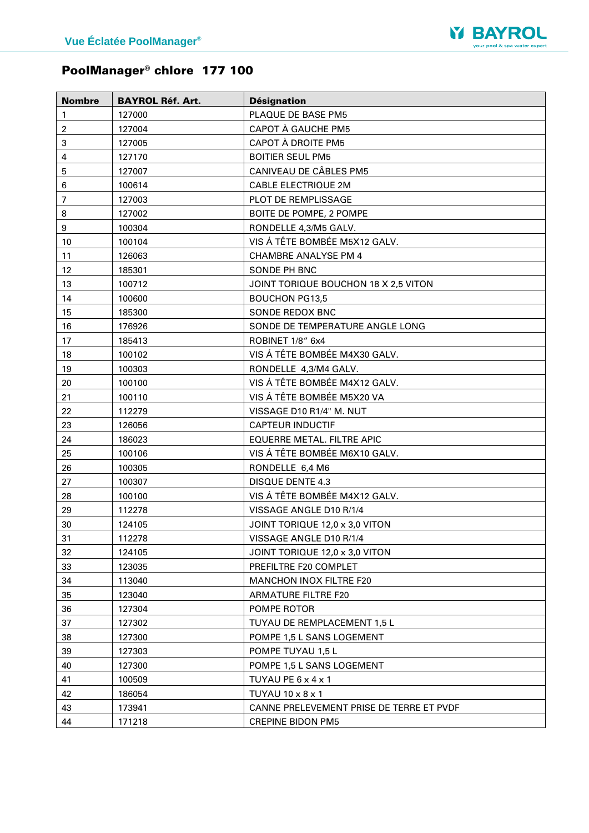

# PoolManager® chlore 177 100

| <b>Nombre</b>            | <b>BAYROL Réf. Art.</b> | <b>Désignation</b>                       |
|--------------------------|-------------------------|------------------------------------------|
| 1                        | 127000                  | PLAQUE DE BASE PM5                       |
| $\boldsymbol{2}$         | 127004                  | CAPOT À GAUCHE PM5                       |
| 3                        | 127005                  | CAPOT À DROITE PM5                       |
| 4                        | 127170                  | <b>BOITIER SEUL PM5</b>                  |
| 5                        | 127007                  | CANIVEAU DE CÂBLES PM5                   |
| 6                        | 100614                  | <b>CABLE ELECTRIQUE 2M</b>               |
| $\overline{\mathcal{I}}$ | 127003                  | PLOT DE REMPLISSAGE                      |
| 8                        | 127002                  | BOITE DE POMPE, 2 POMPE                  |
| $\boldsymbol{9}$         | 100304                  | RONDELLE 4,3/M5 GALV.                    |
| 10                       | 100104                  | VIS Á TÊTE BOMBÉE M5X12 GALV.            |
| 11                       | 126063                  | <b>CHAMBRE ANALYSE PM 4</b>              |
| 12                       | 185301                  | SONDE PH BNC                             |
| 13                       | 100712                  | JOINT TORIQUE BOUCHON 18 X 2,5 VITON     |
| 14                       | 100600                  | <b>BOUCHON PG13,5</b>                    |
| 15                       | 185300                  | SONDE REDOX BNC                          |
| 16                       | 176926                  | SONDE DE TEMPERATURE ANGLE LONG          |
| 17                       | 185413                  | ROBINET 1/8" 6x4                         |
| 18                       | 100102                  | VIS Á TÊTE BOMBÉE M4X30 GALV.            |
| 19                       | 100303                  | RONDELLE 4,3/M4 GALV.                    |
| 20                       | 100100                  | VIS Á TÊTE BOMBÉE M4X12 GALV.            |
| 21                       | 100110                  | VIS Á TÊTE BOMBÉE M5X20 VA               |
| 22                       | 112279                  | VISSAGE D10 R1/4" M. NUT                 |
| 23                       | 126056                  | <b>CAPTEUR INDUCTIF</b>                  |
| 24                       | 186023                  | EQUERRE METAL. FILTRE APIC               |
| 25                       | 100106                  | VIS Á TÊTE BOMBÉE M6X10 GALV.            |
| 26                       | 100305                  | RONDELLE 6,4 M6                          |
| 27                       | 100307                  | <b>DISQUE DENTE 4.3</b>                  |
| 28                       | 100100                  | VIS Á TÊTE BOMBÉE M4X12 GALV.            |
| 29                       | 112278                  | VISSAGE ANGLE D10 R/1/4                  |
| 30                       | 124105                  | JOINT TORIQUE 12,0 x 3,0 VITON           |
| 31                       | 112278                  | VISSAGE ANGLE D10 R/1/4                  |
| 32                       | 124105                  | JOINT TORIQUE 12,0 x 3,0 VITON           |
| 33                       | 123035                  | PREFILTRE F20 COMPLET                    |
| 34                       | 113040                  | MANCHON INOX FILTRE F20                  |
| 35                       | 123040                  | <b>ARMATURE FILTRE F20</b>               |
| 36                       | 127304                  | POMPE ROTOR                              |
| 37                       | 127302                  | TUYAU DE REMPLACEMENT 1,5 L              |
| 38                       | 127300                  | POMPE 1,5 L SANS LOGEMENT                |
| 39                       | 127303                  | POMPE TUYAU 1,5 L                        |
| 40                       | 127300                  | POMPE 1,5 L SANS LOGEMENT                |
| 41                       | 100509                  | TUYAU PE 6 x 4 x 1                       |
| 42                       | 186054                  | TUYAU 10 x 8 x 1                         |
| 43                       | 173941                  | CANNE PRELEVEMENT PRISE DE TERRE ET PVDF |
| 44                       | 171218                  | <b>CREPINE BIDON PM5</b>                 |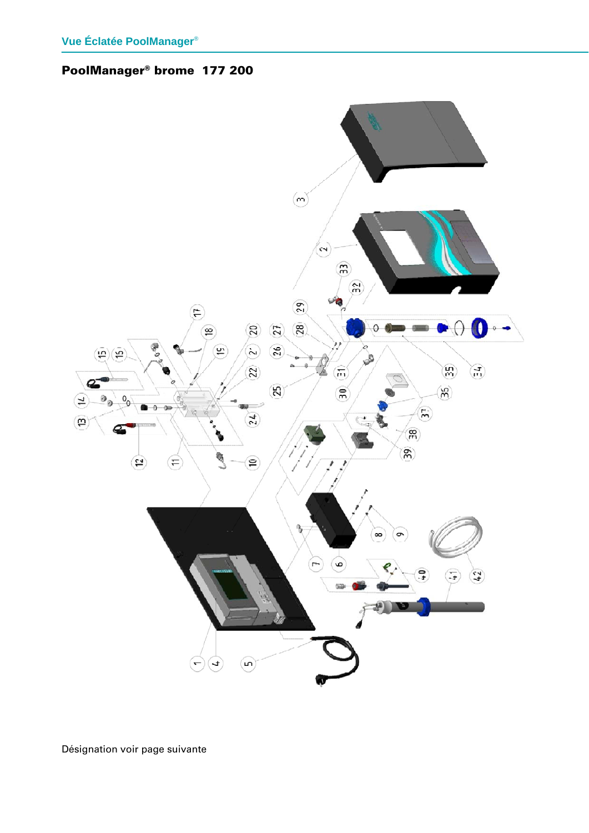### PoolManager® brome 177 200



Désignation voir page suivante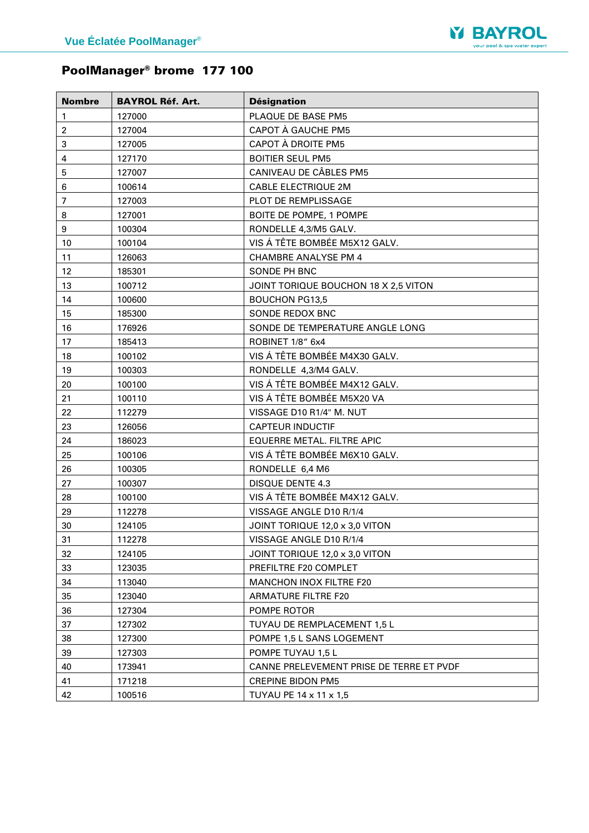

# PoolManager® brome 177 100

| <b>Nombre</b>  | <b>BAYROL Réf. Art.</b> | <b>Désignation</b>                       |
|----------------|-------------------------|------------------------------------------|
| 1              | 127000                  | PLAQUE DE BASE PM5                       |
| $\overline{c}$ | 127004                  | CAPOT À GAUCHE PM5                       |
| 3              | 127005                  | CAPOT À DROITE PM5                       |
| 4              | 127170                  | <b>BOITIER SEUL PM5</b>                  |
| 5              | 127007                  | CANIVEAU DE CÂBLES PM5                   |
| 6              | 100614                  | <b>CABLE ELECTRIQUE 2M</b>               |
| $\overline{7}$ | 127003                  | <b>PLOT DE REMPLISSAGE</b>               |
| 8              | 127001                  | BOITE DE POMPE, 1 POMPE                  |
| 9              | 100304                  | RONDELLE 4,3/M5 GALV.                    |
| 10             | 100104                  | VIS Á TÊTE BOMBÉE M5X12 GALV.            |
| 11             | 126063                  | <b>CHAMBRE ANALYSE PM 4</b>              |
| 12             | 185301                  | SONDE PH BNC                             |
| 13             | 100712                  | JOINT TORIQUE BOUCHON 18 X 2,5 VITON     |
| 14             | 100600                  | <b>BOUCHON PG13,5</b>                    |
| 15             | 185300                  | SONDE REDOX BNC                          |
| 16             | 176926                  | SONDE DE TEMPERATURE ANGLE LONG          |
| 17             | 185413                  | ROBINET 1/8" 6x4                         |
| 18             | 100102                  | VIS Á TÊTE BOMBÉE M4X30 GALV.            |
| 19             | 100303                  | RONDELLE 4,3/M4 GALV.                    |
| 20             | 100100                  | VIS Á TÊTE BOMBÉE M4X12 GALV.            |
| 21             | 100110                  | VIS Á TÊTE BOMBÉE M5X20 VA               |
| 22             | 112279                  | VISSAGE D10 R1/4" M. NUT                 |
| 23             | 126056                  | <b>CAPTEUR INDUCTIF</b>                  |
| 24             | 186023                  | <b>EQUERRE METAL. FILTRE APIC</b>        |
| 25             | 100106                  | VIS Á TÊTE BOMBÉE M6X10 GALV.            |
| 26             | 100305                  | RONDELLE 6,4 M6                          |
| 27             | 100307                  | <b>DISQUE DENTE 4.3</b>                  |
| 28             | 100100                  | VIS Á TÊTE BOMBÉE M4X12 GALV.            |
| 29             | 112278                  | VISSAGE ANGLE D10 R/1/4                  |
| 30             | 124105                  | JOINT TORIQUE 12,0 x 3,0 VITON           |
| 31             | 112278                  | VISSAGE ANGLE D10 R/1/4                  |
| 32             | 124105                  | JOINT TORIQUE 12,0 x 3,0 VITON           |
| 33             | 123035                  | PREFILTRE F20 COMPLET                    |
| 34             | 113040                  | <b>MANCHON INOX FILTRE F20</b>           |
| 35             | 123040                  | ARMATURE FILTRE F20                      |
| 36             | 127304                  | POMPE ROTOR                              |
| 37             | 127302                  | TUYAU DE REMPLACEMENT 1,5 L              |
| 38             | 127300                  | POMPE 1,5 L SANS LOGEMENT                |
| 39             | 127303                  | POMPE TUYAU 1,5 L                        |
| 40             | 173941                  | CANNE PRELEVEMENT PRISE DE TERRE ET PVDF |
| 41             | 171218                  | <b>CREPINE BIDON PM5</b>                 |
| 42             | 100516                  | TUYAU PE 14 x 11 x 1,5                   |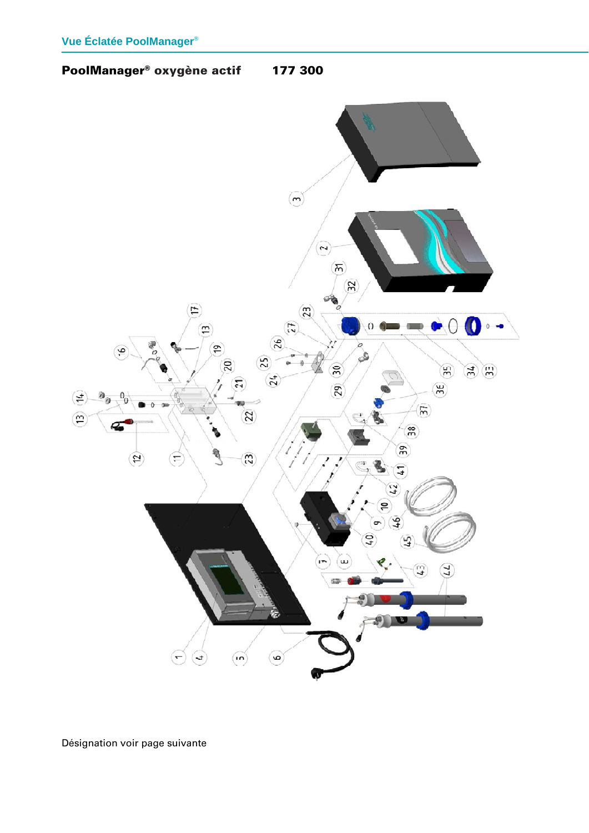



Désignation voir page suivante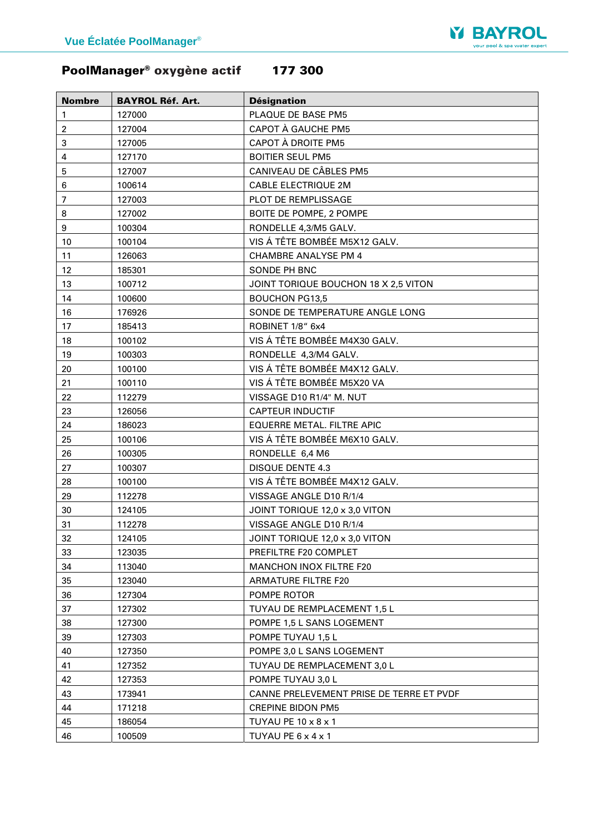

# PoolManager® oxygène actif 177 300

| <b>Nombre</b>    | <b>BAYROL Réf. Art.</b> | <b>Désignation</b>                       |
|------------------|-------------------------|------------------------------------------|
| $\mathbf{1}$     | 127000                  | PLAQUE DE BASE PM5                       |
| $\overline{c}$   | 127004                  | CAPOT À GAUCHE PM5                       |
| 3                | 127005                  | CAPOT À DROITE PM5                       |
| 4                | 127170                  | <b>BOITIER SEUL PM5</b>                  |
| 5                | 127007                  | CANIVEAU DE CÂBLES PM5                   |
| 6                | 100614                  | <b>CABLE ELECTRIQUE 2M</b>               |
| $\overline{7}$   | 127003                  | PLOT DE REMPLISSAGE                      |
| 8                | 127002                  | BOITE DE POMPE, 2 POMPE                  |
| $\boldsymbol{9}$ | 100304                  | RONDELLE 4,3/M5 GALV.                    |
| 10               | 100104                  | VIS Á TÊTE BOMBÉE M5X12 GALV.            |
| 11               | 126063                  | <b>CHAMBRE ANALYSE PM 4</b>              |
| 12               | 185301                  | SONDE PH BNC                             |
| 13               | 100712                  | JOINT TORIQUE BOUCHON 18 X 2,5 VITON     |
| 14               | 100600                  | <b>BOUCHON PG13,5</b>                    |
| 16               | 176926                  | SONDE DE TEMPERATURE ANGLE LONG          |
| 17               | 185413                  | ROBINET 1/8" 6x4                         |
| 18               | 100102                  | VIS Á TÊTE BOMBÉE M4X30 GALV.            |
| 19               | 100303                  | RONDELLE 4,3/M4 GALV.                    |
| 20               | 100100                  | VIS Á TÊTE BOMBÉE M4X12 GALV.            |
| 21               | 100110                  | VIS Á TÊTE BOMBÉE M5X20 VA               |
| 22               | 112279                  | VISSAGE D10 R1/4" M. NUT                 |
| 23               | 126056                  | <b>CAPTEUR INDUCTIF</b>                  |
| 24               | 186023                  | EQUERRE METAL. FILTRE APIC               |
| 25               | 100106                  | VIS Á TÊTE BOMBÉE M6X10 GALV.            |
| 26               | 100305                  | RONDELLE 6,4 M6                          |
| 27               | 100307                  | <b>DISQUE DENTE 4.3</b>                  |
| 28               | 100100                  | VIS Á TÊTE BOMBÉE M4X12 GALV.            |
| 29               | 112278                  | VISSAGE ANGLE D10 R/1/4                  |
| 30               | 124105                  | JOINT TORIQUE 12,0 x 3,0 VITON           |
| 31               | 112278                  | VISSAGE ANGLE D10 R/1/4                  |
| 32               | 124105                  | JOINT TORIQUE 12,0 x 3,0 VITON           |
| 33               | 123035                  | PREFILTRE F20 COMPLET                    |
| 34               | 113040                  | <b>MANCHON INOX FILTRE F20</b>           |
| 35               | 123040                  | <b>ARMATURE FILTRE F20</b>               |
| 36               | 127304                  | POMPE ROTOR                              |
| 37               | 127302                  | TUYAU DE REMPLACEMENT 1,5 L              |
| 38               | 127300                  | POMPE 1,5 L SANS LOGEMENT                |
| 39               | 127303                  | POMPE TUYAU 1,5 L                        |
| 40               | 127350                  | POMPE 3,0 L SANS LOGEMENT                |
| 41               | 127352                  | TUYAU DE REMPLACEMENT 3,0 L              |
| 42               | 127353                  | POMPE TUYAU 3,0 L                        |
| 43               | 173941                  | CANNE PRELEVEMENT PRISE DE TERRE ET PVDF |
| 44               | 171218                  | <b>CREPINE BIDON PM5</b>                 |
| 45               | 186054                  | TUYAU PE 10 x 8 x 1                      |
| 46               | 100509                  | TUYAU PE 6 x 4 x 1                       |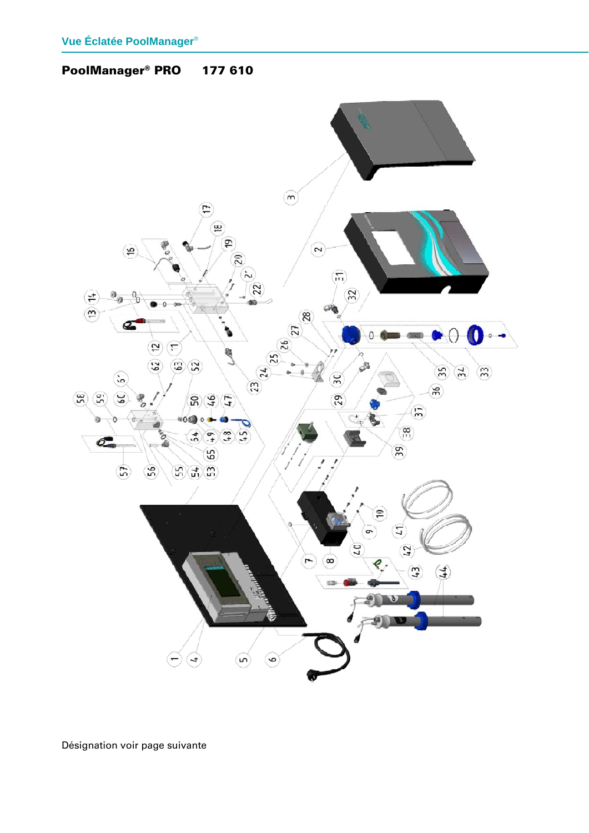PoolManager® PRO 177 610

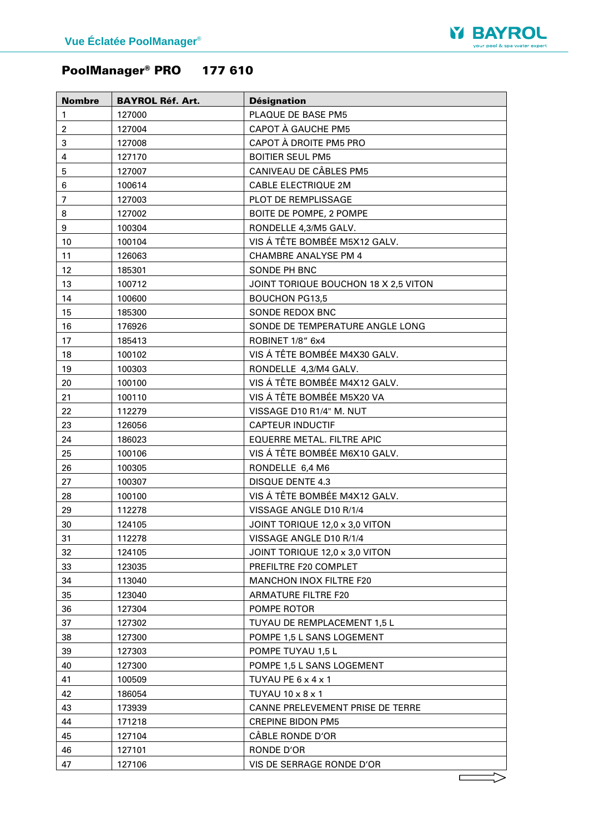

# PoolManager® PRO 177 610

| <b>Nombre</b>  | <b>BAYROL Réf. Art.</b> | <b>Désignation</b>                   |
|----------------|-------------------------|--------------------------------------|
| 1              | 127000                  | PLAQUE DE BASE PM5                   |
| $\overline{c}$ | 127004                  | CAPOT A GAUCHE PM5                   |
| 3              | 127008                  | CAPOT À DROITE PM5 PRO               |
| 4              | 127170                  | <b>BOITIER SEUL PM5</b>              |
| 5              | 127007                  | CANIVEAU DE CÂBLES PM5               |
| 6              | 100614                  | <b>CABLE ELECTRIQUE 2M</b>           |
| $\overline{7}$ | 127003                  | PLOT DE REMPLISSAGE                  |
| 8              | 127002                  | BOITE DE POMPE, 2 POMPE              |
| 9              | 100304                  | RONDELLE 4,3/M5 GALV.                |
| 10             | 100104                  | VIS Á TÊTE BOMBÉE M5X12 GALV.        |
| 11             | 126063                  | <b>CHAMBRE ANALYSE PM 4</b>          |
| 12             | 185301                  | SONDE PH BNC                         |
| 13             | 100712                  | JOINT TORIQUE BOUCHON 18 X 2,5 VITON |
| 14             | 100600                  | <b>BOUCHON PG13,5</b>                |
| 15             | 185300                  | SONDE REDOX BNC                      |
| 16             | 176926                  | SONDE DE TEMPERATURE ANGLE LONG      |
| 17             | 185413                  | ROBINET 1/8" 6x4                     |
| 18             | 100102                  | VIS Á TÊTE BOMBÉE M4X30 GALV.        |
| 19             | 100303                  | RONDELLE 4,3/M4 GALV.                |
| 20             | 100100                  | VIS Á TÊTE BOMBÉE M4X12 GALV.        |
| 21             | 100110                  | VIS Á TÊTE BOMBÉE M5X20 VA           |
| 22             | 112279                  | VISSAGE D10 R1/4" M. NUT             |
| 23             | 126056                  | <b>CAPTEUR INDUCTIF</b>              |
| 24             | 186023                  | EQUERRE METAL. FILTRE APIC           |
| 25             | 100106                  | VIS Á TÊTE BOMBÉE M6X10 GALV.        |
| 26             | 100305                  | RONDELLE 6,4 M6                      |
| 27             | 100307                  | <b>DISQUE DENTE 4.3</b>              |
| 28             | 100100                  | VIS Á TÊTE BOMBÉE M4X12 GALV.        |
| 29             | 112278                  | VISSAGE ANGLE D10 R/1/4              |
| 30             | 124105                  | JOINT TORIQUE 12,0 x 3,0 VITON       |
| 31             | 112278                  | VISSAGE ANGLE D10 R/1/4              |
| 32             | 124105                  | JOINT TORIQUE 12,0 x 3,0 VITON       |
| 33             | 123035                  | PREFILTRE F20 COMPLET                |
| 34             | 113040                  | <b>MANCHON INOX FILTRE F20</b>       |
| 35             | 123040                  | <b>ARMATURE FILTRE F20</b>           |
| 36             | 127304                  | POMPE ROTOR                          |
| 37             | 127302                  | TUYAU DE REMPLACEMENT 1,5 L          |
| 38             | 127300                  | POMPE 1,5 L SANS LOGEMENT            |
| 39             | 127303                  | POMPE TUYAU 1,5 L                    |
| 40             | 127300                  | POMPE 1,5 L SANS LOGEMENT            |
| 41             | 100509                  | TUYAU PE 6 x 4 x 1                   |
| 42             | 186054                  | TUYAU 10 x 8 x 1                     |
| 43             | 173939                  | CANNE PRELEVEMENT PRISE DE TERRE     |
| 44             | 171218                  | <b>CREPINE BIDON PM5</b>             |
| 45             | 127104                  | CÂBLE RONDE D'OR                     |
| 46             | 127101                  | RONDE D'OR                           |
| 47             | 127106                  | VIS DE SERRAGE RONDE D'OR            |
|                |                         |                                      |